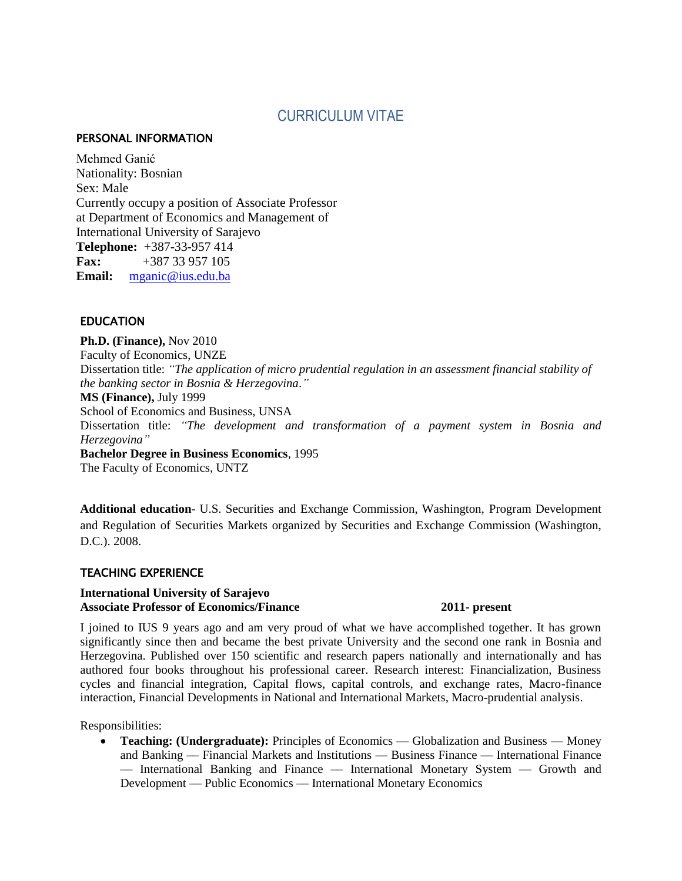# CURRICULUM VITAE

#### PERSONAL INFORMATION

Mehmed Ganić Nationality: Bosnian Sex: Male Currently occupy a position of Associate Professor at Department of Economics and Management of International University of Sarajevo **Telephone:** +387-33-957 414 **Fax:** +387 33 957 105 **Email:** [mganic@ius.edu.ba](mailto:mganic@ius.edu.ba)

### **EDUCATION**

**Ph.D. (Finance),** Nov 2010 Faculty of Economics, UNZE Dissertation title: *"The application of micro prudential regulation in an assessment financial stability of the banking sector in Bosnia & Herzegovina*.*"* **MS (Finance),** July 1999 School of Economics and Business, UNSA Dissertation title: *"The development and transformation of a payment system in Bosnia and Herzegovina"* **Bachelor Degree in Business Economics**, 1995 The Faculty of Economics, UNTZ

**Additional education**- U.S. Securities and Exchange Commission, Washington, Program Development and Regulation of Securities Markets organized by Securities and Exchange Commission (Washington, D.C.). 2008.

### TEACHING EXPERIENCE

#### **International University of Sarajevo Associate Professor of Economics/Finance 2011- present**

I joined to IUS 9 years ago and am very proud of what we have accomplished together. It has grown significantly since then and became the best private University and the second one rank in Bosnia and Herzegovina. Published over 150 scientific and research papers nationally and internationally and has authored four books throughout his professional career. Research interest: Financialization, Business cycles and financial integration, Capital flows, capital controls, and exchange rates, Macro-finance interaction, Financial Developments in National and International Markets, Macro-prudential analysis.

Responsibilities:

Teaching: (Undergraduate): Principles of Economics — Globalization and Business — Money and Banking –– Financial Markets and Institutions –– Business Finance –– International Finance –– International Banking and Finance –– International Monetary System –– Growth and Development –– Public Economics –– International Monetary Economics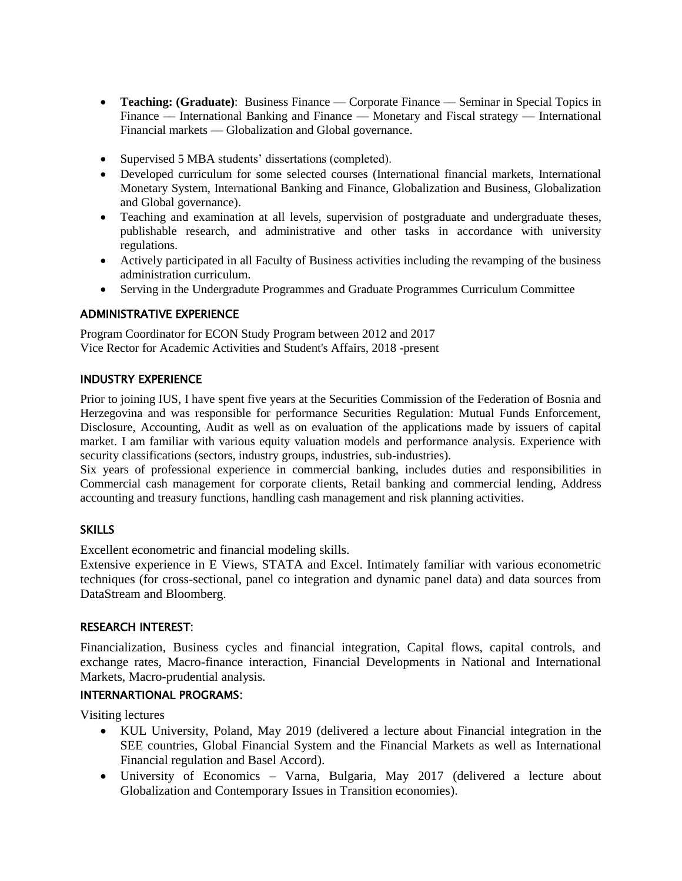- **Teaching: (Graduate)**: Business Finance Corporate Finance Seminar in Special Topics in Finance –– International Banking and Finance –– Monetary and Fiscal strategy –– International Financial markets –– Globalization and Global governance.
- Supervised 5 MBA students' dissertations (completed).
- Developed curriculum for some selected courses (International financial markets, International Monetary System, International Banking and Finance, Globalization and Business, Globalization and Global governance).
- Teaching and examination at all levels, supervision of postgraduate and undergraduate theses, publishable research, and administrative and other tasks in accordance with university regulations.
- Actively participated in all Faculty of Business activities including the revamping of the business administration curriculum.
- Serving in the Undergradute Programmes and Graduate Programmes Curriculum Committee

## ADMINISTRATIVE EXPERIENCE

Program Coordinator for ECON Study Program between 2012 and 2017 Vice Rector for Academic Activities and Student's Affairs, 2018 -present

## INDUSTRY EXPERIENCE

Prior to joining IUS, I have spent five years at the Securities Commission of the Federation of Bosnia and Herzegovina and was responsible for performance Securities Regulation: Mutual Funds Enforcement, Disclosure, Accounting, Audit as well as on evaluation of the applications made by issuers of capital market. I am familiar with various equity valuation models and performance analysis. Experience with security classifications (sectors, industry groups, industries, sub-industries).

Six years of professional experience in commercial banking, includes duties and responsibilities in Commercial cash management for corporate clients, Retail banking and commercial lending, Address accounting and treasury functions, handling cash management and risk planning activities.

# **SKILLS**

Excellent econometric and financial modeling skills.

Extensive experience in E Views, STATA and Excel. Intimately familiar with various econometric techniques (for cross-sectional, panel co integration and dynamic panel data) and data sources from DataStream and Bloomberg.

### RESEARCH INTEREST:

Financialization, Business cycles and financial integration, Capital flows, capital controls, and exchange rates, Macro-finance interaction, Financial Developments in National and International Markets, Macro-prudential analysis.

# INTERNARTIONAL PROGRAMS:

Visiting lectures

- KUL University, Poland, May 2019 (delivered a lecture about Financial integration in the SEE countries, Global Financial System and the Financial Markets as well as International Financial regulation and Basel Accord).
- University of Economics Varna, Bulgaria, May 2017 (delivered a lecture about Globalization and Contemporary Issues in Transition economies).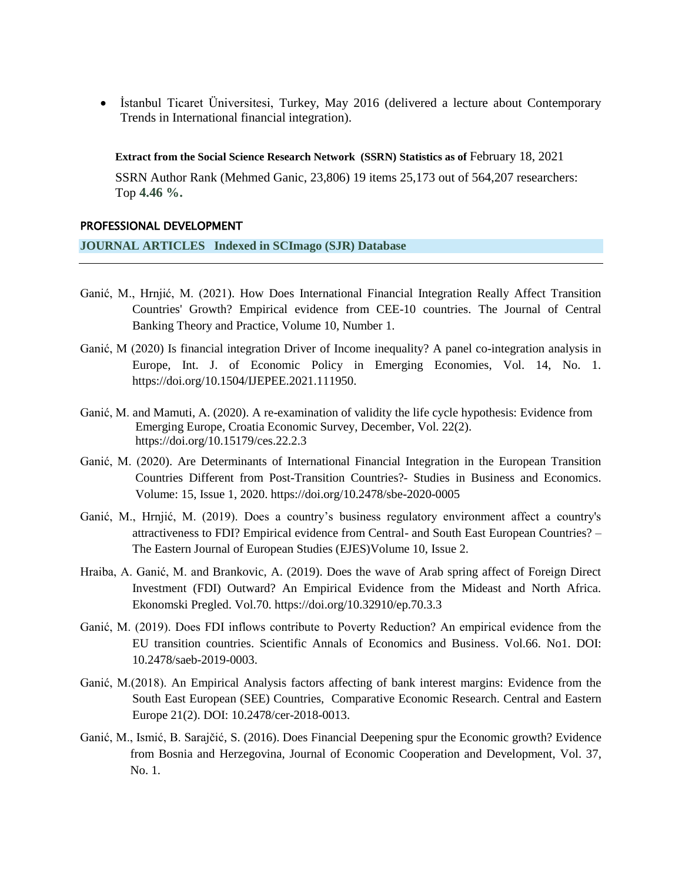İstanbul Ticaret Üniversitesi, Turkey, May 2016 (delivered a lecture about Contemporary Trends in International financial integration).

**Extract from the Social Science Research Network (SSRN) Statistics as of** February 18, 2021

SSRN Author Rank (Mehmed Ganic, 23,806) 19 items 25,173 out of 564,207 researchers: Top **4.46 %.**

#### PROFESSIONAL DEVELOPMENT

**JOURNAL ARTICLES Indexed in SCImago (SJR) Database**

- Ganić, M., Hrnjić, M. (2021). How Does International Financial Integration Really Affect Transition Countries' Growth? Empirical evidence from CEE-10 countries. The Journal of Central Banking Theory and Practice, Volume 10, Number 1.
- Ganić, M (2020) Is financial integration Driver of Income inequality? A panel co-integration analysis in Europe, Int. J. of Economic Policy in Emerging Economies, Vol. 14, No. 1. https://doi.org[/10.1504/IJEPEE.2021.111950.](https://dx.doi.org/10.1504/IJEPEE.2021.111950)
- Ganić, M. and Mamuti, A. (2020). A re-examination of validity the life cycle hypothesis: Evidence from Emerging Europe, Croatia Economic Survey, December, Vol. 22(2). https://doi.org[/10.15179/ces.22.2.3](https://www.researchgate.net/deref/http%3A%2F%2Fdx.doi.org%2F10.15179%2Fces.22.2.3?_sg%5B0%5D=uIqRGTbDbWlczLMDdEN2LKoN2wKB1Y1TCjw8oKmt515jMRBT8iJdDDFE6Vgf2dOFwMo52Jz2EgWJpcXUV7GYErV2fA.b7ckIlE2GmDk19D7Nw1mVtcxyy1AdWywGDOwyoGhbuVefil6xKdeFz7xh4YGo0Xj0frBIMRP-II1C7ShchrVsQ)
- Ganić, M. (2020). Are Determinants of International Financial Integration in the European Transition Countries Different from Post-Transition Countries?- Studies in Business and Economics. Volume: 15, Issue 1, 2020. https://doi.org/10.2478/sbe-2020-0005
- Ganić, M., Hrnjić, M. (2019). Does a country's business regulatory environment affect a country's attractiveness to FDI? Empirical evidence from Central- and South East European Countries? – The Eastern Journal of European Studies (EJES)Volume 10, Issue 2.
- Hraiba, A. Ganić, M. and Brankovic, A. (2019). Does the wave of Arab spring affect of Foreign Direct Investment (FDI) Outward? An Empirical Evidence from the Mideast and North Africa. Ekonomski Pregled. Vol.70. <https://doi.org/10.32910/ep.70.3.3>
- Ganić, M. (2019). Does FDI inflows contribute to Poverty Reduction? An empirical evidence from the EU transition countries. Scientific Annals of Economics and Business. Vol.66. No1. DOI: 10.2478/saeb-2019-0003.
- Ganić, M.(2018). An Empirical Analysis factors affecting of bank interest margins: Evidence from the South East European (SEE) Countries, Comparative Economic Research. Central and Eastern Europe 21(2). DOI: 10.2478/cer-2018-0013.
- Ganić, M., Ismić, B. Sarajčić, S. (2016). Does Financial Deepening spur the Economic growth? Evidence from Bosnia and Herzegovina, Journal of Economic Cooperation and Development, Vol. 37, No. 1.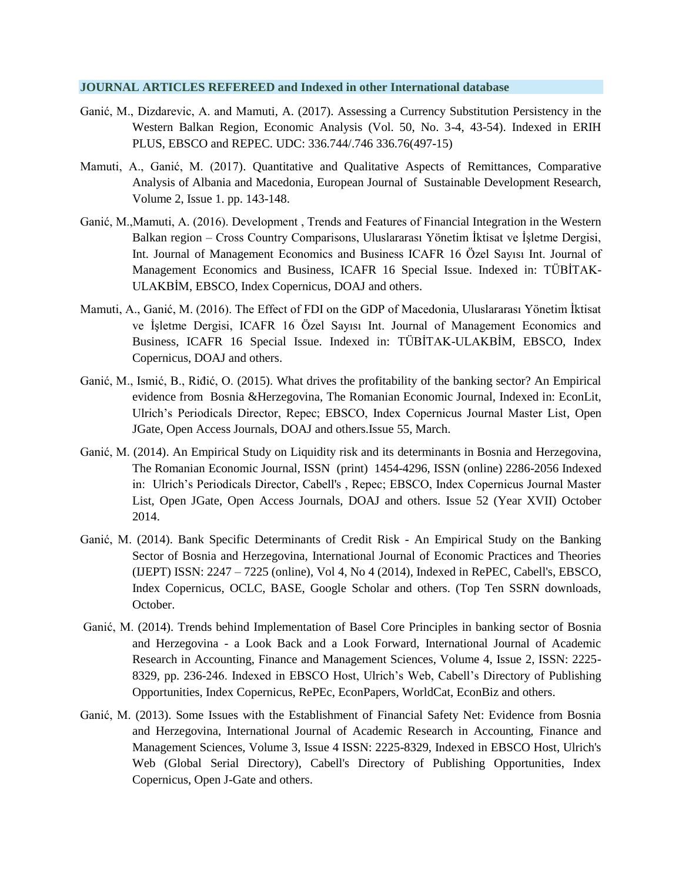#### **JOURNAL ARTICLES REFEREED and Indexed in other International database**

- Ganić, M., Dizdarevic, A. and Mamuti, A. (2017). Assessing a Currency Substitution Persistency in the Western Balkan Region, Economic Analysis (Vol. 50, No. 3-4, 43-54). Indexed in ERIH PLUS, EBSCO and REPEC. UDC: 336.744/.746 336.76(497-15)
- Mamuti, A., Ganić, M. (2017). Quantitative and Qualitative Aspects of Remittances, Comparative Analysis of Albania and Macedonia, European Journal of Sustainable Development Research, Volume 2, Issue 1. pp. 143-148.
- Ganić, M.,Mamuti, A. (2016). Development , Trends and Features of Financial Integration in the Western Balkan region – Cross Country Comparisons, Uluslararası Yönetim İktisat ve İşletme Dergisi, Int. Journal of Management Economics and Business ICAFR 16 Özel Sayısı Int. Journal of Management Economics and Business, ICAFR 16 Special Issue. Indexed in: [TÜBİTAK-](http://uvt.ulakbim.gov.tr/sbvt/)[ULAKBİM,](http://uvt.ulakbim.gov.tr/sbvt/) EBSCO, Index Copernicus, DOAJ and others.
- Mamuti, A., Ganić, M. (2016). The Effect of FDI on the GDP of Macedonia, Uluslararası Yönetim İktisat ve İşletme Dergisi, ICAFR 16 Özel Sayısı Int. Journal of Management Economics and Business, ICAFR 16 Special Issue. Indexed in: [TÜBİTAK-ULAKBİM,](http://uvt.ulakbim.gov.tr/sbvt/) EBSCO, Index Copernicus, DOAJ and others.
- Ganić, M., Ismić, B., Riđić, O. (2015). What drives the profitability of the banking sector? An Empirical evidence from Bosnia &Herzegovina, The Romanian Economic Journal, Indexed in: EconLit, Ulrich's Periodicals Director, Repec; EBSCO, Index Copernicus Journal Master List, Open JGate, Open Access Journals, DOAJ and others.Issue 55, March.
- Ganić, M. (2014). [An Empirical Study on Liquidity risk and its determinants in Bosnia and Herzegovina,](http://www.rejournal.eu/article/empirical-study-liquidity-risk-and-its-determinants-bosnia-and-herzegovina) The Romanian Economic Journal, ISSN (print) 1454-4296, ISSN (online) 2286-2056 Indexed in: Ulrich's Periodicals Director, Cabell's , Repec; EBSCO, Index Copernicus Journal Master List, Open JGate, Open Access Journals, DOAJ and others. [Issue 52 \(Year XVII\) October](http://www.rejournal.eu/issue/issue-52-year-xvii-october-2014)  [2014.](http://www.rejournal.eu/issue/issue-52-year-xvii-october-2014)
- Ganić, M. (2014). Bank Specific Determinants of Credit Risk An Empirical Study on the Banking Sector of Bosnia and Herzegovina, International Journal of Economic Practices and Theories (IJEPT) ISSN: 2247 – 7225 (online), [Vol 4, No 4 \(2014\),](http://www.ijept.org/index.php/ijept/issue/view/13) Indexed in RePEC, Cabell's, EBSCO, Index Copernicus, OCLC, BASE, Google Scholar and others. (Top Ten SSRN downloads, October.
- Ganić, M. (2014). Trends behind Implementation of Basel Core Principles in banking sector of Bosnia and Herzegovina - a Look Back and a Look Forward, International Journal of Academic Research in Accounting, Finance and Management Sciences, Volume 4, Issue 2, ISSN: 2225- 8329, pp. 236-246. Indexed in EBSCO Host, Ulrich's Web, Cabell's Directory of Publishing Opportunities, Index Copernicus, RePEc, EconPapers, WorldCat, EconBiz and others.
- Ganić, M. (2013). Some Issues with the Establishment of Financial Safety Net: Evidence from Bosnia and Herzegovina, International Journal of Academic Research in Accounting, Finance and Management Sciences, Volume 3, Issue 4 ISSN: 2225-8329, Indexed in EBSCO Host, Ulrich's Web (Global Serial Directory), Cabell's Directory of Publishing Opportunities, Index Copernicus, Open J-Gate and others.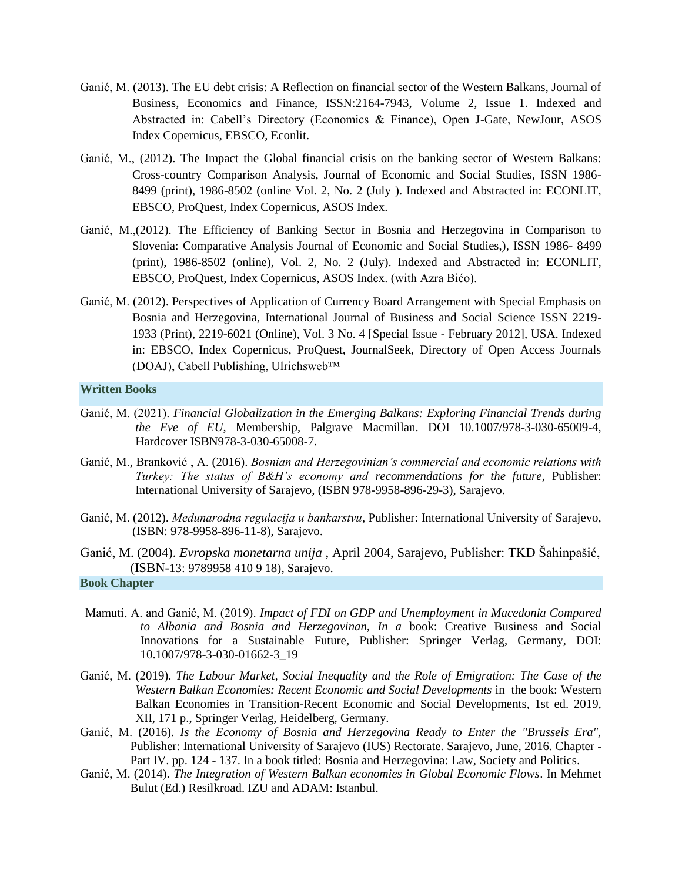- Ganić, M. (2013). The EU debt crisis: A Reflection on financial sector of the Western Balkans, Journal of Business, Economics and Finance, ISSN:2164-7943, Volume 2, Issue 1. Indexed and Abstracted in: Cabell's Directory (Economics & Finance), Open J-Gate, NewJour, ASOS Index Copernicus, EBSCO, Econlit.
- Ganić, M., (2012). The Impact the Global financial crisis on the banking sector of Western Balkans: Cross-country Comparison Analysis, Journal of Economic and Social Studies, ISSN 1986- 8499 (print), 1986-8502 (online Vol. 2, No. 2 (July ). Indexed and Abstracted in: [ECONLIT,](http://www.aeaweb.org/econlit/journal_list.php#J) [EBSCO,](http://www.ebscohost.com/titleLists/bth-journals.pdf) ProQuest, Index Copernicus, [ASOS](http://asosindex.com/journal-view?id=135) Index.
- Ganić, M.,(2012). The Efficiency of Banking Sector in Bosnia and Herzegovina in Comparison to Slovenia: Comparative Analysis Journal of Economic and Social Studies,), ISSN 1986- 8499 (print), 1986-8502 (online), Vol. 2, No. 2 (July). Indexed and Abstracted in: [ECONLIT,](http://www.aeaweb.org/econlit/journal_list.php#J) [EBSCO,](http://www.ebscohost.com/titleLists/bth-journals.pdf) ProQuest, Index Copernicus, [ASOS](http://asosindex.com/journal-view?id=135) Index. (with Azra Bićo).
- Ganić, M. (2012). Perspectives of Application of Currency Board Arrangement with Special Emphasis on Bosnia and Herzegovina, International Journal of Business and Social Science ISSN 2219- 1933 (Print), 2219-6021 (Online), Vol. 3 No. 4 [Special Issue - February 2012], USA. Indexed in: EBSCO, Index Copernicus, ProQuest, JournalSeek, Directory of Open Access Journals (DOAJ), Cabell Publishing, Ulrichsweb™

#### **Written Books**

- Ganić, M. (2021). *Financial Globalization in the Emerging Balkans: Exploring Financial Trends during the Eve of EU*, Membership, Palgrave Macmillan. DOI 10.1007/978-3-030-65009-4, Hardcover ISBN978-3-030-65008-7.
- Ganić, M., Branković , A. (2016). *Bosnian and Herzegovinian's commercial and economic relations with Turkey: The status of B&H's economy and recommendations for the future*, Publisher: International University of Sarajevo, (ISBN 978-9958-896-29-3), Sarajevo.
- Ganić, M. (2012). *Međunarodna regulacija u bankarstvu*, Publisher: International University of Sarajevo, (ISBN: 978-9958-896-11-8), Sarajevo.
- Ganić, M. (2004). *Evropska monetarna unija* , April 2004, Sarajevo, Publisher: TKD Šahinpašić, (ISBN-13: 9789958 410 9 18), Sarajevo.

**Book Chapter**

- Mamuti, A. and Ganić, M. (2019). *Impact of FDI on GDP and Unemployment in Macedonia Compared to Albania and Bosnia and Herzegovinan, In a* book: Creative Business and Social Innovations for a Sustainable Future, Publisher: Springer Verlag, Germany, DOI: 10.1007/978-3-030-01662-3\_19
- Ganić, M. (2019). *The Labour Market, Social Inequality and the Role of Emigration: The Case of the Western Balkan Economies: Recent Economic and Social Developments* in the book: Western Balkan Economies in Transition-Recent Economic and Social Developments, 1st ed. 2019, XII, 171 p., Springer Verlag, Heidelberg, Germany.
- Ganić, M. (2016). *Is the Economy of Bosnia and Herzegovina Ready to Enter the "Brussels Era",* Publisher: International University of Sarajevo (IUS) Rectorate. Sarajevo, June, 2016. Chapter - Part IV. pp. 124 - 137. In a book titled: Bosnia and Herzegovina: Law, Society and Politics.
- Ganić, M. (2014). *The Integration of Western Balkan economies in Global Economic Flows*. In Mehmet Bulut (Ed.) Resilkroad. IZU and ADAM: Istanbul.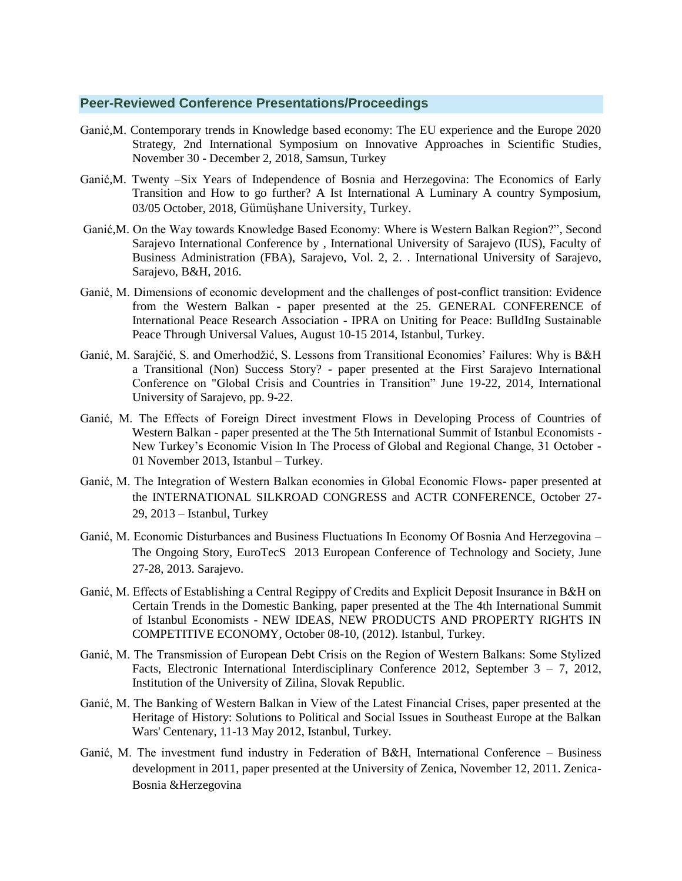#### **Peer-Reviewed Conference Presentations/Proceedings**

- [Ganić,](https://econ.ius.edu.ba/publications?f%5Bauthor%5D=76)M. Contemporary trends in Knowledge based economy: The EU experience and the Europe 2020 Strategy, 2nd International Symposium on Innovative Approaches in Scientific Studies, November 30 - December 2, 2018, Samsun, Turke[y](https://econ.ius.edu.ba/publications?f%5Bauthor%5D=76)
- [Ganić,](https://econ.ius.edu.ba/publications?f%5Bauthor%5D=76)M. Twenty –Six Years of Independence of Bosnia and Herzegovina: The Economics of Early Transition and How to go further? A Ist International A Luminary A country Symposium, 03/05 October, 2018, Gümüşhane University, Turkey.
- [Ganić,](https://econ.ius.edu.ba/publications?f%5Bauthor%5D=76)M. [On the Way towards Knowledge Based Economy: Where is Western Balkan Region?",](https://econ.ius.edu.ba/publication/way-towards-knowledge-based-economy-where-western-balkan-region) Second Sarajevo International Conference by , International University of Sarajevo (IUS), Faculty of Business Administration (FBA), Sarajevo, Vol. 2, 2. . International University of Sarajevo, Sarajevo, B&H, 2016.
- Ganić, M. Dimensions of economic development and the challenges of post-conflict transition: Evidence from the Western Balkan - paper presented at the 25. GENERAL CONFERENCE of International Peace Research Association - IPRA on Uniting for Peace: BuIldIng Sustainable Peace Through Universal Values, August 10-15 2014, Istanbul, Turkey.
- Ganić, M. Sarajčić, S. and Omerhodžić, S. Lessons from Transitional Economies' Failures: Why is B&H a Transitional (Non) Success Story? - paper presented at the First Sarajevo International Conference on "Global Crisis and Countries in Transition" June 19-22, 2014, International University of Sarajevo, pp. 9-22.
- Ganić, M. The Effects of Foreign Direct investment Flows in Developing Process of Countries of Western Balkan - paper presented at the The 5th International Summit of Istanbul Economists - New Turkey's Economic Vision In The Process of Global and Regional Change, 31 October - 01 November 2013, Istanbul – Turkey.
- Ganić, M. The Integration of Western Balkan economies in Global Economic Flows- paper presented at the INTERNATIONAL SILKROAD CONGRESS and ACTR CONFERENCE, October 27- 29, 2013 – Istanbul, Turkey
- Ganić, M. Economic Disturbances and Business Fluctuations In Economy Of Bosnia And Herzegovina The Ongoing Story, [EuroTecS](http://www.ius.edu.ba:8080/eurotecs/) 2013 European Conference of Technology and Society, June 27-28, 2013. Sarajevo.
- Ganić, M. Effects of Establishing a Central Regippy of Credits and Explicit Deposit Insurance in B&H on Certain Trends in the Domestic Banking, paper presented at the The 4th International Summit of Istanbul Economists - NEW IDEAS, NEW PRODUCTS AND PROPERTY RIGHTS IN COMPETITIVE ECONOMY, October 08-10, (2012). Istanbul, Turkey.
- Ganić, M. The Transmission of European Debt Crisis on the Region of Western Balkans: Some Stylized Facts, Electronic International Interdisciplinary Conference 2012, September  $3 - 7$ , 2012, Institution of the University of Zilina, Slovak Republic.
- Ganić, M. The Banking of Western Balkan in View of the Latest Financial Crises, paper presented at the Heritage of History: Solutions to Political and Social Issues in Southeast Europe at the Balkan Wars' Centenary, 11-13 May 2012, Istanbul, Turkey.
- Ganić, M. The investment fund industry in Federation of B&H, International Conference Business development in 2011, paper presented at the University of Zenica, November 12, 2011. Zenica-Bosnia &Herzegovina